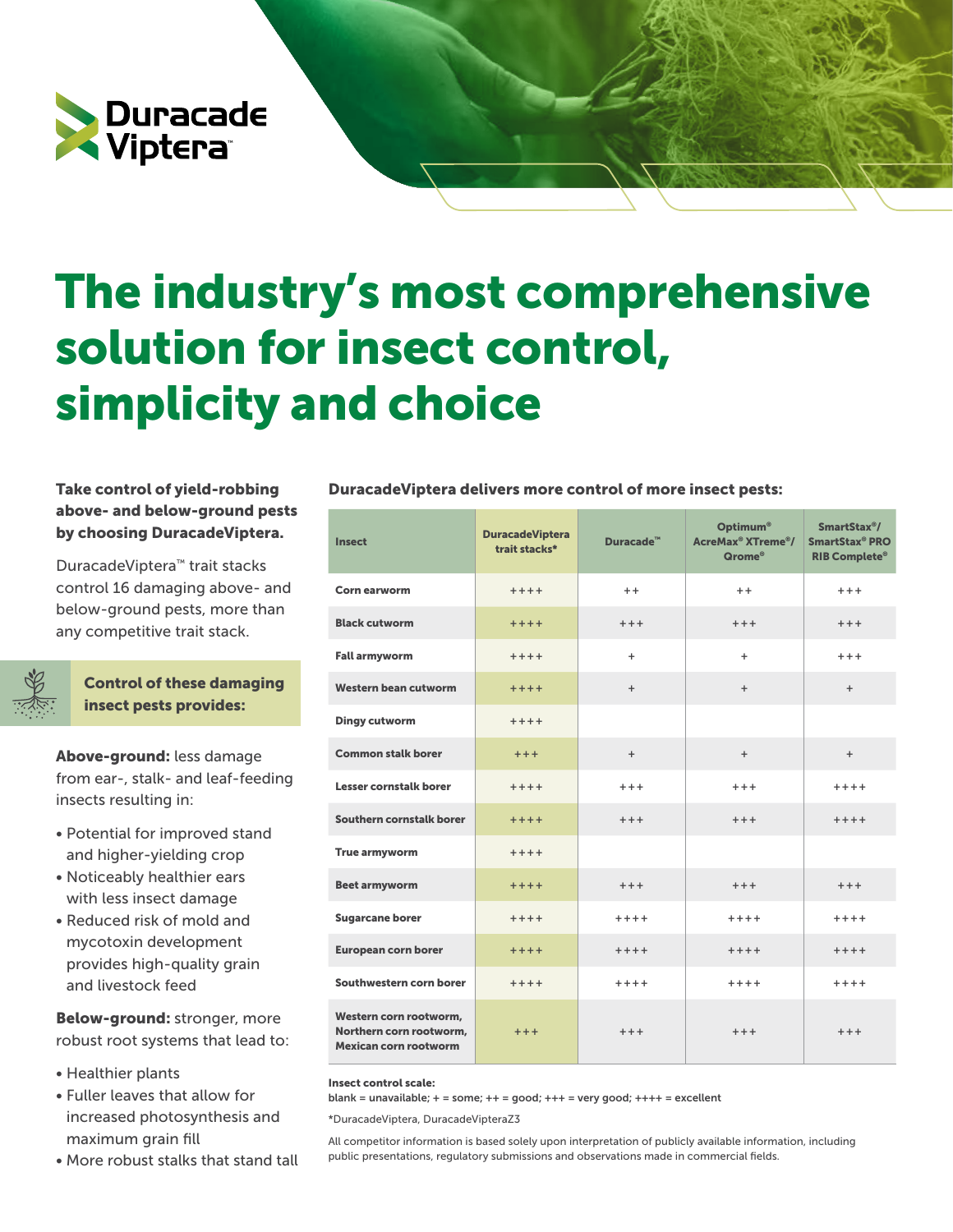

## The industry's most comprehensive solution for insect control, simplicity and choice

## above- and below-ground pests by choosing DuracadeViptera.

DuracadeViptera™ trait stacks control 16 damaging above- and below-ground pests, more than any competitive trait stack.



Control of these damaging insect pests provides:

Above-ground: less damage from ear-, stalk- and leaf-feeding insects resulting in:

- Potential for improved stand and higher-yielding crop
- Noticeably healthier ears with less insect damage
- Reduced risk of mold and mycotoxin development provides high-quality grain and livestock feed

Below-ground: stronger, more robust root systems that lead to:

- Healthier plants
- Fuller leaves that allow for increased photosynthesis and maximum grain fill
- More robust stalks that stand tall

## Take control of yield-robbing DuracadeViptera delivers more control of more insect pests:

| <b>Insect</b>                                                              | <b>DuracadeViptera</b><br>trait stacks* | Duracade™ | Optimum <sup>®</sup><br>AcreMax <sup>®</sup> XTreme <sup>®</sup> /<br>Qrome® | SmartStax <sup>®</sup> /<br>SmartStax® PRO<br><b>RIB Complete®</b> |
|----------------------------------------------------------------------------|-----------------------------------------|-----------|------------------------------------------------------------------------------|--------------------------------------------------------------------|
| Corn earworm                                                               | $+++++$                                 | $+ +$     | $+ +$                                                                        | $***$                                                              |
| <b>Black cutworm</b>                                                       | $***+$                                  | $+++$     | $+++$                                                                        | $+++$                                                              |
| <b>Fall armyworm</b>                                                       | $++++$                                  | $\ddot{}$ | $\ddot{}$                                                                    | $+++$                                                              |
| Western bean cutworm                                                       | $***+$                                  | $+$       | $+$                                                                          | $+$                                                                |
| <b>Dingy cutworm</b>                                                       | $***+$                                  |           |                                                                              |                                                                    |
| <b>Common stalk borer</b>                                                  | $***$                                   | $+$       | $+$                                                                          | $+$                                                                |
| Lesser cornstalk borer                                                     | $+++++$                                 | $+++$     | $***$                                                                        | $++++$                                                             |
| Southern cornstalk borer                                                   | $***+$                                  | $+++$     | $+++$                                                                        | $++++$                                                             |
| True armyworm                                                              | $+++++$                                 |           |                                                                              |                                                                    |
| <b>Beet armyworm</b>                                                       | $***+$                                  | $+++$     | $+++$                                                                        | $+++$                                                              |
| <b>Sugarcane borer</b>                                                     | $+++++$                                 | $++++$    | $***+$                                                                       | $***$                                                              |
| <b>European corn borer</b>                                                 | $***+$                                  | $++++$    | $+++++$                                                                      | $+++++$                                                            |
| Southwestern corn borer                                                    | $+++++$                                 | $++++$    | $++++$                                                                       | $+++++$                                                            |
| Western corn rootworm.<br>Northern corn rootworm.<br>Mexican corn rootworm | $+ + +$                                 | $+++$     | $+++$                                                                        | $+++$                                                              |

Insect control scale:

blank = unavailable;  $+$  = some;  $++$  = good;  $+++$  = very good;  $++++$  = excellent

\*DuracadeViptera, DuracadeVipteraZ3

All competitor information is based solely upon interpretation of publicly available information, including public presentations, regulatory submissions and observations made in commercial fields.